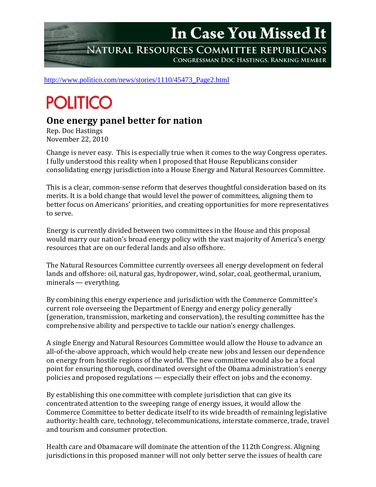In Case You Missed It

NATURAL RESOURCES COMMITTEE REPUBLICANS CONGRESSMAN DOC HASTINGS, RANKING MEMBER

[http://www.politico.com/news/stories/1110/45473\\_Page2.html](http://www.politico.com/news/stories/1110/45473_Page2.html)

## **POLITICO**

## **One energy panel better for nation**

Rep. Doc Hastings November 22, 2010

Change is never easy. This is especially true when it comes to the way Congress operates. I fully understood this reality when I proposed that House Republicans consider consolidating energy jurisdiction into a House Energy and Natural Resources Committee.

This is a clear, common-sense reform that deserves thoughtful consideration based on its merits. It is a bold change that would level the power of committees, aligning them to better focus on Americans' priorities, and creating opportunities for more representatives to serve.

Energy is currently divided between two committees in the House and this proposal would marry our nation's broad energy policy with the vast majority of America's energy resources that are on our federal lands and also offshore.

The Natural Resources Committee currently oversees all energy development on federal lands and offshore: oil, natural gas, hydropower, wind, solar, coal, geothermal, uranium, minerals — everything.

By combining this energy experience and jurisdiction with the Commerce Committee's current role overseeing the Department of Energy and energy policy generally (generation, transmission, marketing and conservation), the resulting committee has the comprehensive ability and perspective to tackle our nation's energy challenges.

A single Energy and Natural Resources Committee would allow the House to advance an all-of-the-above approach, which would help create new jobs and lessen our dependence on energy from hostile regions of the world. The new committee would also be a focal point for ensuring thorough, coordinated oversight of the Obama administration's energy policies and proposed regulations — especially their effect on jobs and the economy.

By establishing this one committee with complete jurisdiction that can give its concentrated attention to the sweeping range of energy issues, it would allow the Commerce Committee to better dedicate itself to its wide breadth of remaining legislative authority: health care, technology, telecommunications, interstate commerce, trade, travel and tourism and consumer protection.

Health care and Obamacare will dominate the attention of the 112th Congress. Aligning jurisdictions in this proposed manner will not only better serve the issues of health care